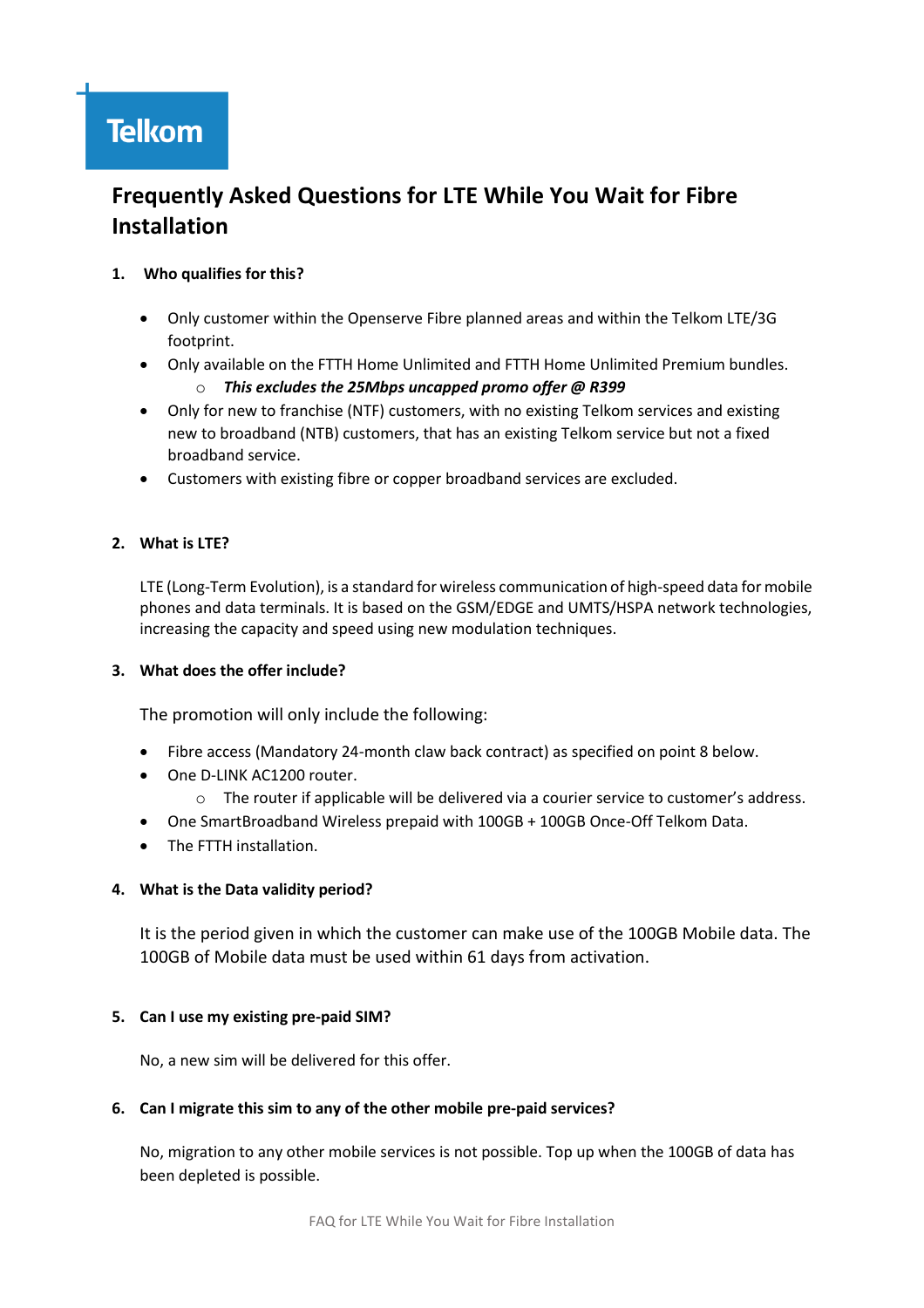# **Frequently Asked Questions for LTE While You Wait for Fibre Installation**

# **1. Who qualifies for this?**

- Only customer within the Openserve Fibre planned areas and within the Telkom LTE/3G footprint.
- Only available on the FTTH Home Unlimited and FTTH Home Unlimited Premium bundles. o *This excludes the 25Mbps uncapped promo offer @ R399*
- Only for new to franchise (NTF) customers, with no existing Telkom services and existing new to broadband (NTB) customers, that has an existing Telkom service but not a fixed broadband service.
- Customers with existing fibre or copper broadband services are excluded.

# **2. What is LTE?**

LTE (Long-Term Evolution), is a standard for wireless communication of high-speed data for mobile phones and data terminals. It is based on the GSM/EDGE and UMTS/HSPA network technologies, increasing the capacity and speed using new modulation techniques.

# **3. What does the offer include?**

The promotion will only include the following:

- Fibre access (Mandatory 24-month claw back contract) as specified on point 8 below.
- One D-LINK AC1200 router.
	- o The router if applicable will be delivered via a courier service to customer's address.
- One SmartBroadband Wireless prepaid with 100GB + 100GB Once-Off Telkom Data.
- The FTTH installation.

# **4. What is the Data validity period?**

It is the period given in which the customer can make use of the 100GB Mobile data. The 100GB of Mobile data must be used within 61 days from activation.

# **5. Can I use my existing pre-paid SIM?**

No, a new sim will be delivered for this offer.

# **6. Can I migrate this sim to any of the other mobile pre-paid services?**

No, migration to any other mobile services is not possible. Top up when the 100GB of data has been depleted is possible.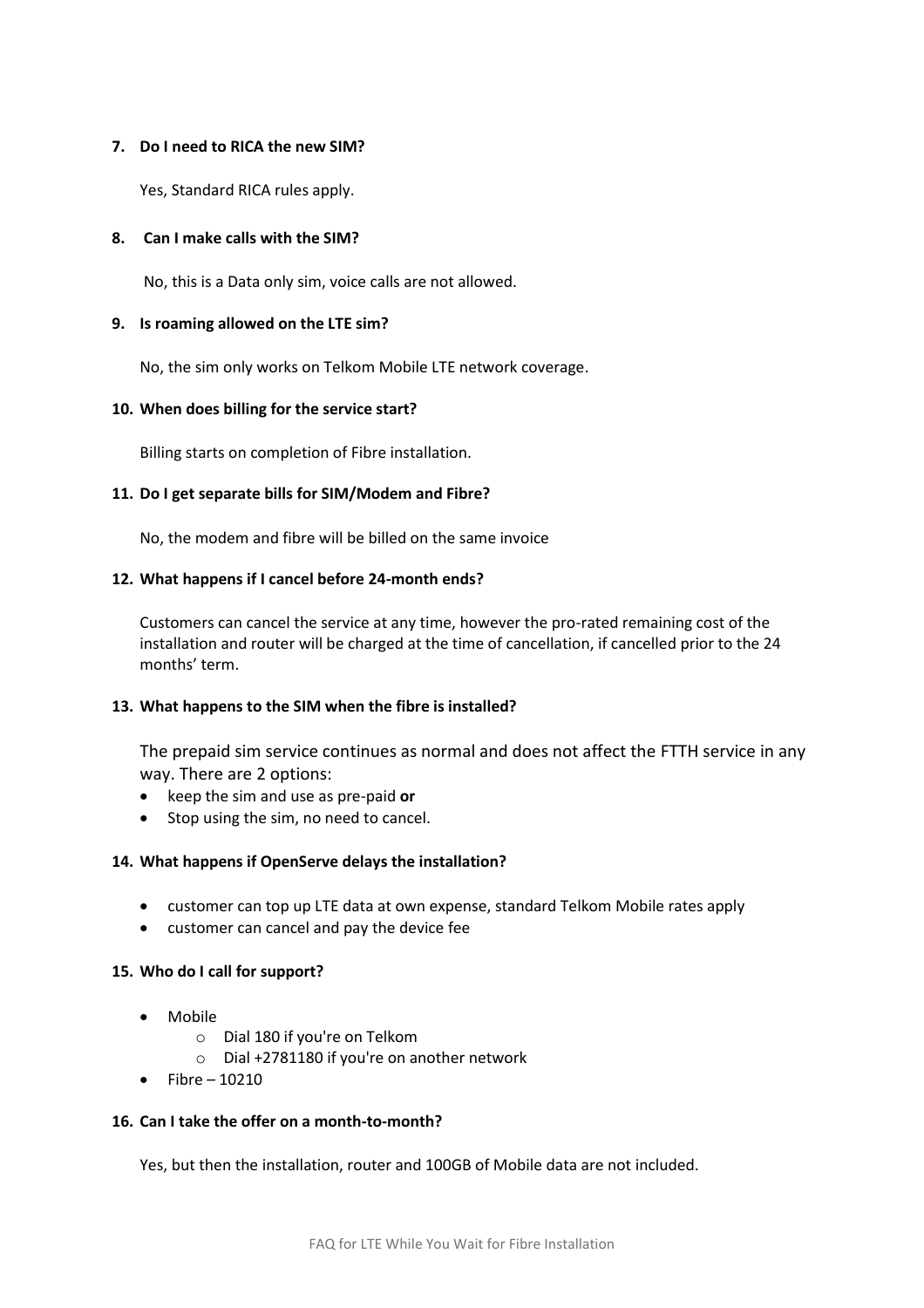#### **7. Do I need to RICA the new SIM?**

Yes, Standard RICA rules apply.

## **8. Can I make calls with the SIM?**

No, this is a Data only sim, voice calls are not allowed.

#### **9. Is roaming allowed on the LTE sim?**

No, the sim only works on Telkom Mobile LTE network coverage.

## **10. When does billing for the service start?**

Billing starts on completion of Fibre installation.

## **11. Do I get separate bills for SIM/Modem and Fibre?**

No, the modem and fibre will be billed on the same invoice

## **12. What happens if I cancel before 24-month ends?**

Customers can cancel the service at any time, however the pro-rated remaining cost of the installation and router will be charged at the time of cancellation, if cancelled prior to the 24 months' term.

#### **13. What happens to the SIM when the fibre is installed?**

The prepaid sim service continues as normal and does not affect the FTTH service in any way. There are 2 options:

- keep the sim and use as pre-paid **or**
- Stop using the sim, no need to cancel.

#### **14. What happens if OpenServe delays the installation?**

- customer can top up LTE data at own expense, standard Telkom Mobile rates apply
- customer can cancel and pay the device fee

#### **15. Who do I call for support?**

- Mobile
	- o Dial 180 if you're on Telkom
	- o Dial +2781180 if you're on another network
- Fibre 10210

#### **16. Can I take the offer on a month-to-month?**

Yes, but then the installation, router and 100GB of Mobile data are not included.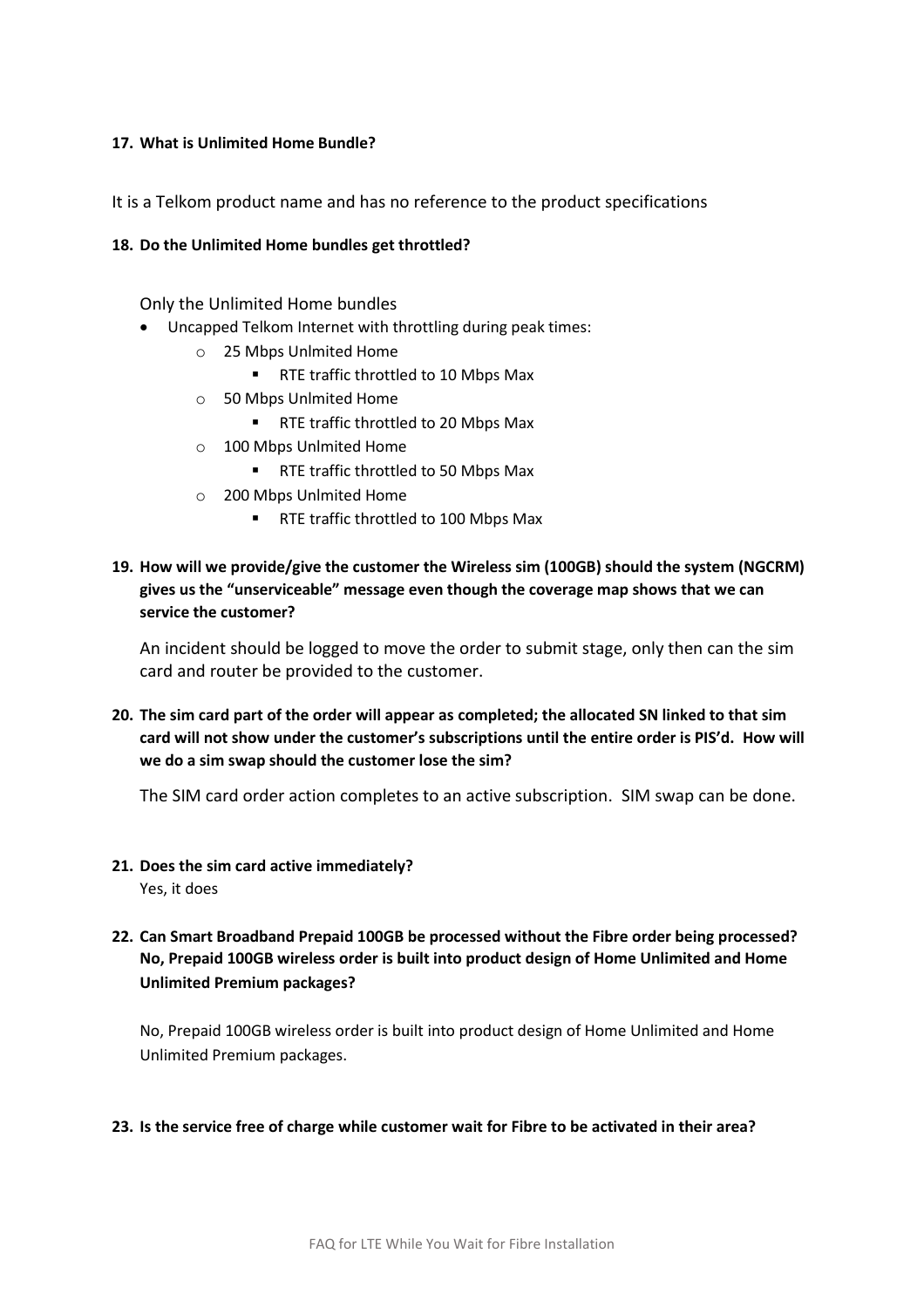## **17. What is Unlimited Home Bundle?**

It is a Telkom product name and has no reference to the product specifications

## **18. Do the Unlimited Home bundles get throttled?**

Only the Unlimited Home bundles

- Uncapped Telkom Internet with throttling during peak times:
	- o 25 Mbps Unlmited Home
		- RTE traffic throttled to 10 Mbps Max
	- o 50 Mbps Unlmited Home
		- RTE traffic throttled to 20 Mbps Max
	- o 100 Mbps Unlmited Home
		- RTE traffic throttled to 50 Mbps Max
	- o 200 Mbps Unlmited Home
		- RTE traffic throttled to 100 Mbps Max
- **19. How will we provide/give the customer the Wireless sim (100GB) should the system (NGCRM) gives us the "unserviceable" message even though the coverage map shows that we can service the customer?**

An incident should be logged to move the order to submit stage, only then can the sim card and router be provided to the customer.

**20. The sim card part of the order will appear as completed; the allocated SN linked to that sim card will not show under the customer's subscriptions until the entire order is PIS'd. How will we do a sim swap should the customer lose the sim?**

The SIM card order action completes to an active subscription. SIM swap can be done.

- **21. Does the sim card active immediately?** Yes, it does
- **22. Can Smart Broadband Prepaid 100GB be processed without the Fibre order being processed? No, Prepaid 100GB wireless order is built into product design of Home Unlimited and Home Unlimited Premium packages?**

No, Prepaid 100GB wireless order is built into product design of Home Unlimited and Home Unlimited Premium packages.

#### **23. Is the service free of charge while customer wait for Fibre to be activated in their area?**